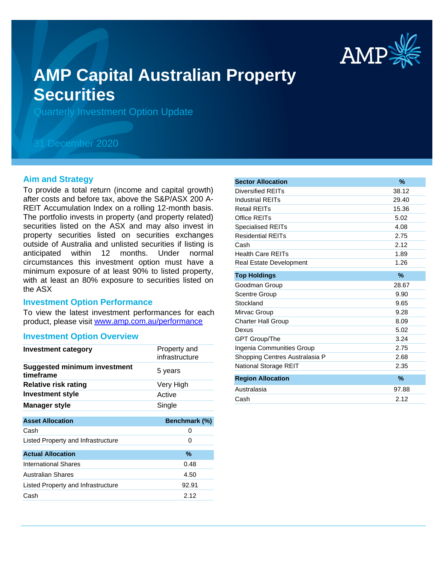

# **AMP Capital Australian Property Securities**

Quarterly Investment Option Update

## 31 December 2020

#### **Aim and Strategy**

To provide a total return (income and capital growth) after costs and before tax, above the S&P/ASX 200 A-REIT Accumulation Index on a rolling 12-month basis. The portfolio invests in property (and property related) securities listed on the ASX and may also invest in property securities listed on securities exchanges outside of Australia and unlisted securities if listing is anticipated within 12 months. Under normal circumstances this investment option must have a minimum exposure of at least 90% to listed property, with at least an 80% exposure to securities listed on the ASX

#### **Investment Option Performance**

product, please visit <u>www.amp.com.au/performance</u> To view the latest investment performances for each

#### **Investment Option Overview**

| <b>Investment category</b>                       | Property and<br>infrastructure |
|--------------------------------------------------|--------------------------------|
| <b>Suggested minimum investment</b><br>timeframe | 5 years                        |
| <b>Relative risk rating</b>                      | Very High                      |
| <b>Investment style</b>                          | Active                         |
| <b>Manager style</b>                             | Single                         |
|                                                  |                                |
| <b>Asset Allocation</b>                          | Benchmark (%)                  |
| Cash                                             | 0                              |
| Listed Property and Infrastructure               | 0                              |
| <b>Actual Allocation</b>                         | %                              |
| <b>International Shares</b>                      | 0.48                           |
| <b>Australian Shares</b>                         | 4.50                           |
| Listed Property and Infrastructure               | 92.91                          |
| Cash                                             | 2.12                           |

| <b>Sector Allocation</b>       | $\%$  |
|--------------------------------|-------|
| Diversified REITs              | 38.12 |
| <b>Industrial REITs</b>        | 29.40 |
| <b>Retail REITs</b>            | 15.36 |
| Office REITs                   | 5.02  |
| <b>Specialised REITs</b>       | 4.08  |
| <b>Residential REITs</b>       | 2.75  |
| Cash                           | 2.12  |
| <b>Health Care REITs</b>       | 1.89  |
| Real Estate Development        | 1.26  |
| <b>Top Holdings</b>            | $\%$  |
| Goodman Group                  | 28.67 |
| <b>Scentre Group</b>           | 9.90  |
| Stockland                      | 9.65  |
| Mirvac Group                   | 9.28  |
| <b>Charter Hall Group</b>      | 8.09  |
| Dexus                          | 5.02  |
| GPT Group/The                  | 3.24  |
| Ingenia Communities Group      | 2.75  |
| Shopping Centres Australasia P | 2.68  |
| National Storage REIT          | 2.35  |
| <b>Region Allocation</b>       | $\%$  |
| Australasia                    | 97.88 |
| Cash                           | 2.12  |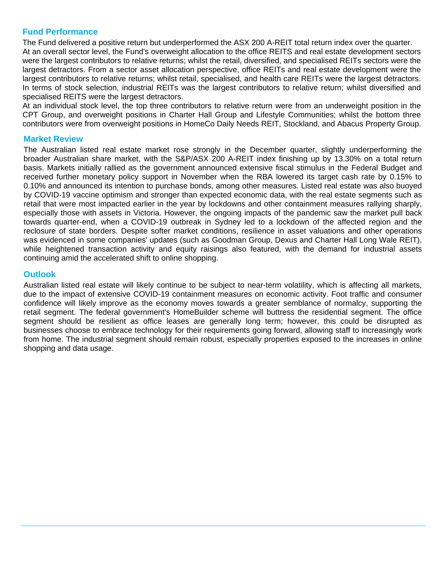## **Fund Performance**

The Fund delivered a positive return but underperformed the ASX 200 A-REIT total return index over the quarter. At an overall sector level, the Fund's overweight allocation to the office REITS and real estate development sectors were the largest contributors to relative returns; whilst the retail, diversified, and specialised REITs sectors were the largest detractors. From a sector asset allocation perspective, office REITs and real estate development were the largest contributors to relative returns; whilst retail, specialised, and health care REITs were the largest detractors. In terms of stock selection, industrial REITs was the largest contributors to relative return; whilst diversified and specialised REITS were the largest detractors.

At an individual stock level, the top three contributors to relative return were from an underweight position in the CPT Group, and overweight positions in Charter Hall Group and Lifestyle Communities; whilst the bottom three contributors were from overweight positions in HomeCo Daily Needs REIT, Stockland, and Abacus Property Group.

### **Market Review**

The Australian listed real estate market rose strongly in the December quarter, slightly underperforming the broader Australian share market, with the S&P/ASX 200 A-REIT index finishing up by 13.30% on a total return basis. Markets initially rallied as the government announced extensive fiscal stimulus in the Federal Budget and received further monetary policy support in November when the RBA lowered its target cash rate by 0.15% to 0.10% and announced its intention to purchase bonds, among other measures. Listed real estate was also buoyed by COVID-19 vaccine optimism and stronger than expected economic data, with the real estate segments such as retail that were most impacted earlier in the year by lockdowns and other containment measures rallying sharply, especially those with assets in Victoria. However, the ongoing impacts of the pandemic saw the market pull back towards quarter-end, when a COVID-19 outbreak in Sydney led to a lockdown of the affected region and the reclosure of state borders. Despite softer market conditions, resilience in asset valuations and other operations was evidenced in some companies' updates (such as Goodman Group, Dexus and Charter Hall Long Wale REIT), while heightened transaction activity and equity raisings also featured, with the demand for industrial assets continuing amid the accelerated shift to online shopping.

## **Outlook**

Australian listed real estate will likely continue to be subject to near-term volatility, which is affecting all markets, due to the impact of extensive COVID-19 containment measures on economic activity. Foot traffic and consumer confidence will likely improve as the economy moves towards a greater semblance of normalcy, supporting the retail segment. The federal government's HomeBuilder scheme will buttress the residential segment. The office segment should be resilient as office leases are generally long term; however, this could be disrupted as businesses choose to embrace technology for their requirements going forward, allowing staff to increasingly work from home. The industrial segment should remain robust, especially properties exposed to the increases in online shopping and data usage.